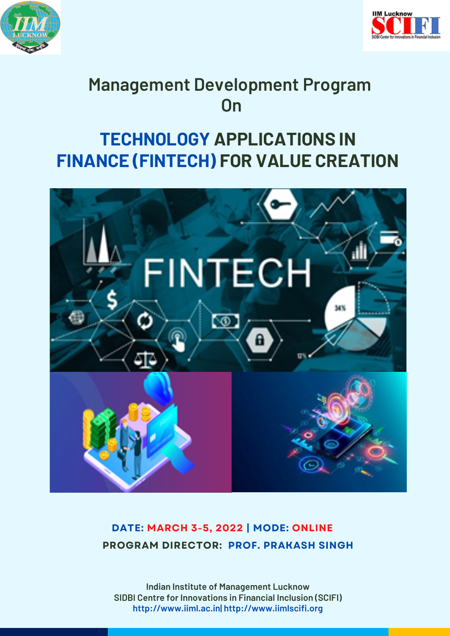



# **Management Development Program On**

# **TECHNOLOGY APPLICATIONS IN FINANCE (FINTECH) FOR VALUE CREATION**



#### **DATE: MARCH 3-5, 2022 | MODE: ONLINE PROGRAM DIRECTOR: PROF. PRAKASH SINGH**

**Indian Institute of Management Lucknow SIDBI Centre for Innovations in Financial Inclusion (SCIFI) http://www.iiml.ac.in| http://www.iimlscifi.org**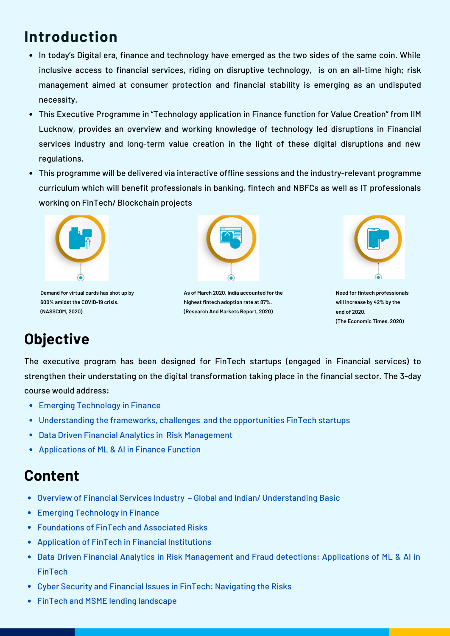# **Introduction**

- In today's Digital era, finance and technology have emerged as the two sides of the same coin. While inclusive access to financial services, riding on disruptive technology, is on an all-time high; risk management aimed at consumer protection and financial stability is emerging as an undisputed necessity.
- This Executive Programme in "Technology application in Finance function for Value Creation" from IIM Lucknow, provides an overview and working knowledge of technology led disruptions in Financial services industry and long-term value creation in the light of these digital disruptions and new regulations.
- This programme will be delivered via interactive offline sessions and the industry-relevant programme curriculum which will benefit professionals in banking, fintech and NBFCs as well as IT professionals working on FinTech/ Blockchain projects



**Demand for virtual cards has shot up by 600% amidst the COVID-19 crisis. (NASSCOM, 2020)**



**As of March 2020, India accounted for the highest fintech adoption rate at 87%. (Research And Markets Report, 2020)**



**Need for fintech professionals will increase by 42% by the end of 2020. (The Economic Times, 2020)**

## **Objective**

The executive program has been designed for FinTech startups (engaged in Financial services) to strengthen their understating on the digital transformation taking place in the financial sector. The 3-day course would address:

- Emerging Technology in Finance
- Understanding the frameworks, challenges and the opportunities FinTech startups
- Data Driven Financial Analytics in Risk Management
- Applications of ML & AI in Finance Function

#### **Content**

- Overview of Financial Services Industry Global and Indian/ Understanding Basic
- Emerging Technology in Finance
- Foundations of FinTech and Associated Risks
- Application of FinTech in Financial Institutions
- Data Driven Financial Analytics in Risk Management and Fraud detections: Applications of ML & AI in FinTech
- Cyber Security and Financial Issues in FinTech: Navigating the Risks
- FinTech and MSME lending landscape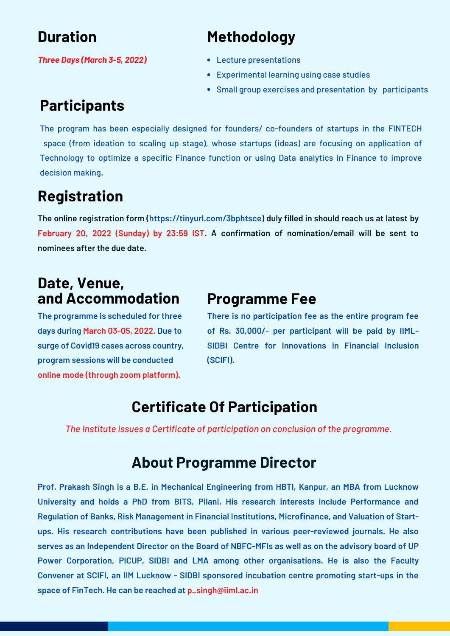## **Duration**

## **Methodology**

*Three Days (March 3-5, 2022)*

#### Lecture presentations

- Experimental learning using case studies
- Small group exercises and presentation by participants

## **Participants**

The program has been especially designed for founders/ co-founders of startups in the FINTECH space (from ideation to scaling up stage), whose startups (ideas) are focusing on application of Technology to optimize a specific Finance function or using Data analytics in Finance to improve decision making.

## **Registration**

**The online registration form (https://tinyurl.com/3bphtsce) duly filled in should reach us at latest by February 20, 2022 (Sunday) by 23:59 IST. A confirmation of nomination/email will be sent to nominees after the due date.**

#### **Date, Venue, and Accommodation**

**The programme is scheduled for three days during March 03-05, 2022. Due to surge of Covid19 cases across country, program sessions will be conducted online mode (through zoom platform).**

#### **Programme Fee**

**There is no participation fee as the entire program fee of Rs. 30,000/- per participant will be paid by IIML-SIDBI Centre for Innovations in Financial Inclusion (SCIFI).**

#### **Certificate Of Participation**

*The Institute issues a Certificate of participation on conclusion of the programme.*

#### **About Programme Director**

**Prof. Prakash Singh is a B.E. in Mechanical Engineering from HBTI, Kanpur, an MBA from Lucknow University and holds a PhD from BITS, Pilani. His research interests include Performance and Regulation of Banks, Risk Management in Financial Institutions, Microfinance, and Valuation of Startups. His research contributions have been published in various peer-reviewed journals. He also** serves as an Independent Director on the Board of NBFC-MFIs as well as on the advisory board of UP **Power Corporation, PICUP, SIDBI and LMA among other organisations. He is also the Faculty Convener at SCIFI, an IIM Lucknow - SIDBI sponsored incubation centre promoting start-ups in the space of FinTech. He can be reached at p\_singh@iiml.ac.in**